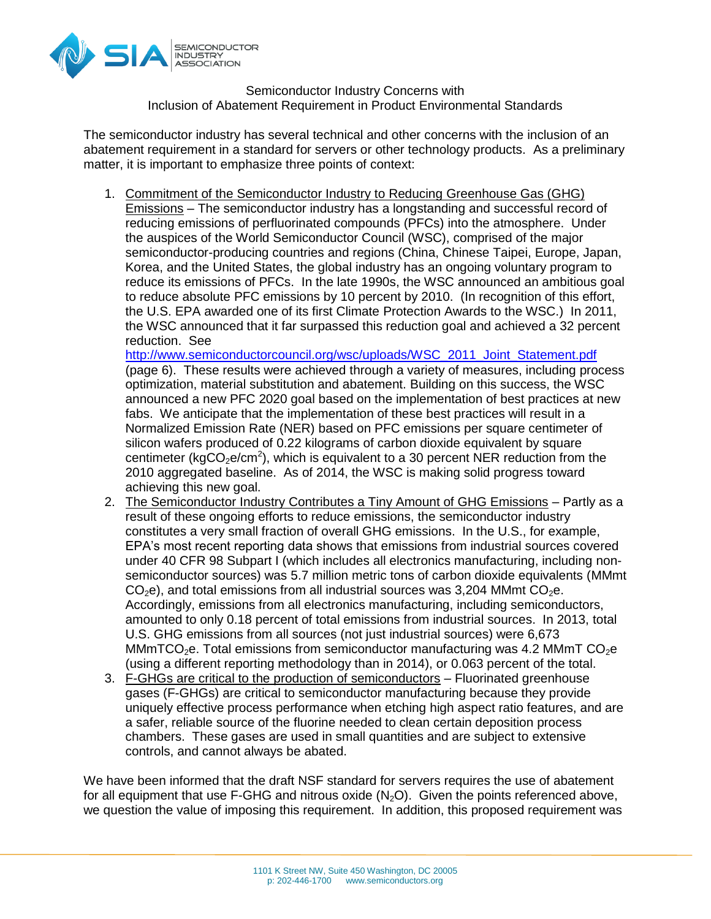

Semiconductor Industry Concerns with Inclusion of Abatement Requirement in Product Environmental Standards

The semiconductor industry has several technical and other concerns with the inclusion of an abatement requirement in a standard for servers or other technology products. As a preliminary matter, it is important to emphasize three points of context:

1. Commitment of the Semiconductor Industry to Reducing Greenhouse Gas (GHG) Emissions – The semiconductor industry has a longstanding and successful record of reducing emissions of perfluorinated compounds (PFCs) into the atmosphere. Under the auspices of the World Semiconductor Council (WSC), comprised of the major semiconductor-producing countries and regions (China, Chinese Taipei, Europe, Japan, Korea, and the United States, the global industry has an ongoing voluntary program to reduce its emissions of PFCs. In the late 1990s, the WSC announced an ambitious goal to reduce absolute PFC emissions by 10 percent by 2010. (In recognition of this effort, the U.S. EPA awarded one of its first Climate Protection Awards to the WSC.) In 2011, the WSC announced that it far surpassed this reduction goal and achieved a 32 percent reduction. See

[http://www.semiconductorcouncil.org/wsc/uploads/WSC\\_2011\\_Joint\\_Statement.pdf](http://www.semiconductorcouncil.org/wsc/uploads/WSC_2011_Joint_Statement.pdf) (page 6). These results were achieved through a variety of measures, including process optimization, material substitution and abatement. Building on this success, the WSC announced a new PFC 2020 goal based on the implementation of best practices at new fabs. We anticipate that the implementation of these best practices will result in a Normalized Emission Rate (NER) based on PFC emissions per square centimeter of silicon wafers produced of 0.22 kilograms of carbon dioxide equivalent by square centimeter (kgCO<sub>2</sub>e/cm<sup>2</sup>), which is equivalent to a 30 percent NER reduction from the 2010 aggregated baseline. As of 2014, the WSC is making solid progress toward achieving this new goal.

- 2. The Semiconductor Industry Contributes a Tiny Amount of GHG Emissions Partly as a result of these ongoing efforts to reduce emissions, the semiconductor industry constitutes a very small fraction of overall GHG emissions. In the U.S., for example, EPA's most recent reporting data shows that emissions from industrial sources covered under 40 CFR 98 Subpart I (which includes all electronics manufacturing, including nonsemiconductor sources) was 5.7 million metric tons of carbon dioxide equivalents (MMmt  $CO<sub>2</sub>e$ ), and total emissions from all industrial sources was 3,204 MMmt  $CO<sub>2</sub>e$ . Accordingly, emissions from all electronics manufacturing, including semiconductors, amounted to only 0.18 percent of total emissions from industrial sources. In 2013, total U.S. GHG emissions from all sources (not just industrial sources) were 6,673 MMmTCO<sub>2</sub>e. Total emissions from semiconductor manufacturing was 4.2 MMmT CO<sub>2</sub>e (using a different reporting methodology than in 2014), or 0.063 percent of the total.
- 3. F-GHGs are critical to the production of semiconductors Fluorinated greenhouse gases (F-GHGs) are critical to semiconductor manufacturing because they provide uniquely effective process performance when etching high aspect ratio features, and are a safer, reliable source of the fluorine needed to clean certain deposition process chambers. These gases are used in small quantities and are subject to extensive controls, and cannot always be abated.

We have been informed that the draft NSF standard for servers requires the use of abatement for all equipment that use F-GHG and nitrous oxide  $(N_2O)$ . Given the points referenced above, we question the value of imposing this requirement. In addition, this proposed requirement was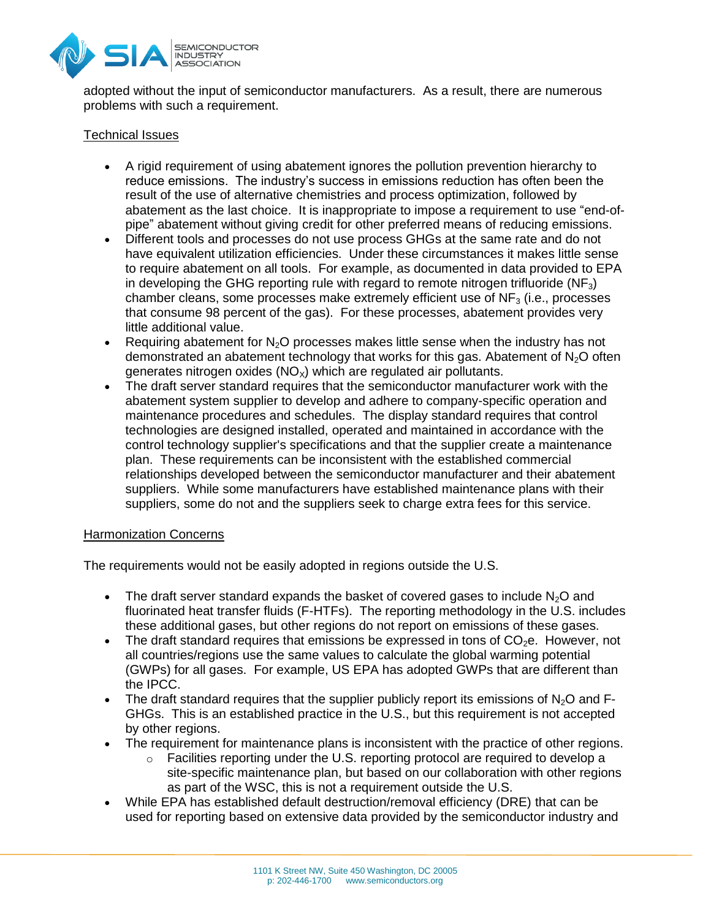

adopted without the input of semiconductor manufacturers. As a result, there are numerous problems with such a requirement.

## Technical Issues

- A rigid requirement of using abatement ignores the pollution prevention hierarchy to reduce emissions. The industry's success in emissions reduction has often been the result of the use of alternative chemistries and process optimization, followed by abatement as the last choice. It is inappropriate to impose a requirement to use "end-ofpipe" abatement without giving credit for other preferred means of reducing emissions.
- Different tools and processes do not use process GHGs at the same rate and do not have equivalent utilization efficiencies. Under these circumstances it makes little sense to require abatement on all tools. For example, as documented in data provided to EPA in developing the GHG reporting rule with regard to remote nitrogen trifluoride  $(NF_3)$ chamber cleans, some processes make extremely efficient use of  $NF<sub>3</sub>$  (i.e., processes that consume 98 percent of the gas). For these processes, abatement provides very little additional value.
- **•** Requiring abatement for  $N<sub>2</sub>O$  processes makes little sense when the industry has not demonstrated an abatement technology that works for this gas. Abatement of  $N_2O$  often generates nitrogen oxides ( $NO<sub>x</sub>$ ) which are regulated air pollutants.
- The draft server standard requires that the semiconductor manufacturer work with the abatement system supplier to develop and adhere to company-specific operation and maintenance procedures and schedules. The display standard requires that control technologies are designed installed, operated and maintained in accordance with the control technology supplier's specifications and that the supplier create a maintenance plan. These requirements can be inconsistent with the established commercial relationships developed between the semiconductor manufacturer and their abatement suppliers. While some manufacturers have established maintenance plans with their suppliers, some do not and the suppliers seek to charge extra fees for this service.

## Harmonization Concerns

The requirements would not be easily adopted in regions outside the U.S.

- The draft server standard expands the basket of covered gases to include  $N_2O$  and fluorinated heat transfer fluids (F-HTFs). The reporting methodology in the U.S. includes these additional gases, but other regions do not report on emissions of these gases.
- The draft standard requires that emissions be expressed in tons of  $CO<sub>2</sub>e$ . However, not all countries/regions use the same values to calculate the global warming potential (GWPs) for all gases. For example, US EPA has adopted GWPs that are different than the IPCC.
- The draft standard requires that the supplier publicly report its emissions of  $N<sub>2</sub>O$  and F-GHGs. This is an established practice in the U.S., but this requirement is not accepted by other regions.
- The requirement for maintenance plans is inconsistent with the practice of other regions.
	- $\circ$  Facilities reporting under the U.S. reporting protocol are required to develop a site-specific maintenance plan, but based on our collaboration with other regions as part of the WSC, this is not a requirement outside the U.S.
- While EPA has established default destruction/removal efficiency (DRE) that can be used for reporting based on extensive data provided by the semiconductor industry and